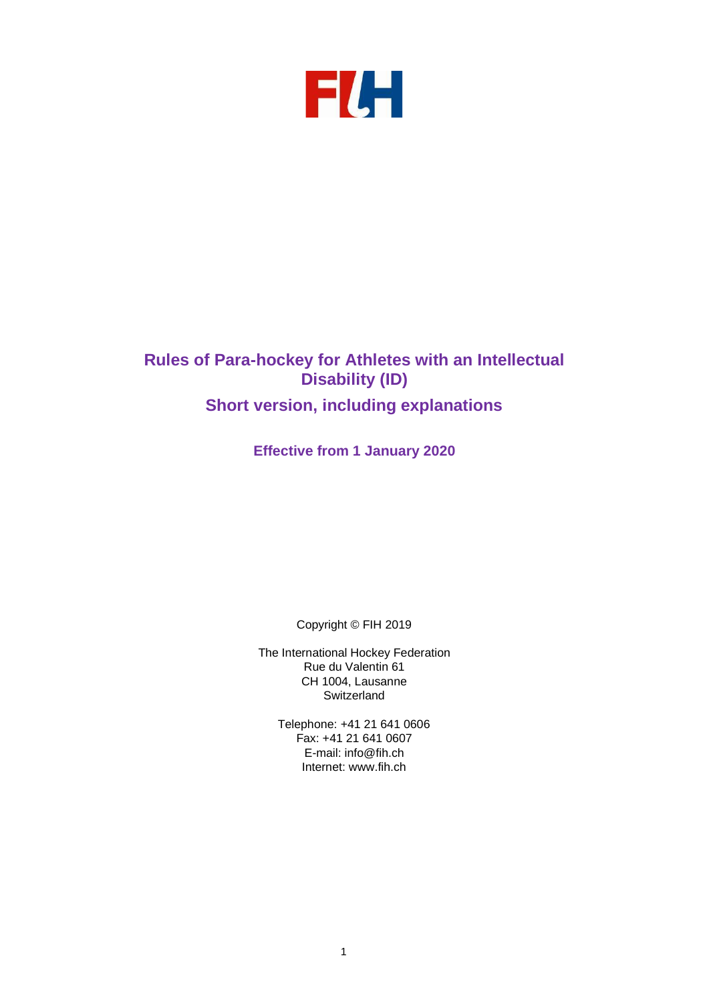

# **Rules of Para-hockey for Athletes with an Intellectual Disability (ID) Short version, including explanations**

**Effective from 1 January 2020**

Copyright © FIH 2019

The International Hockey Federation Rue du Valentin 61 CH 1004, Lausanne **Switzerland** 

Telephone: +41 21 641 0606 Fax: +41 21 641 0607 E-mail: [info@fih.ch](mailto:info@fih.ch) Internet: [www.fih.ch](http://www.fih.ch/)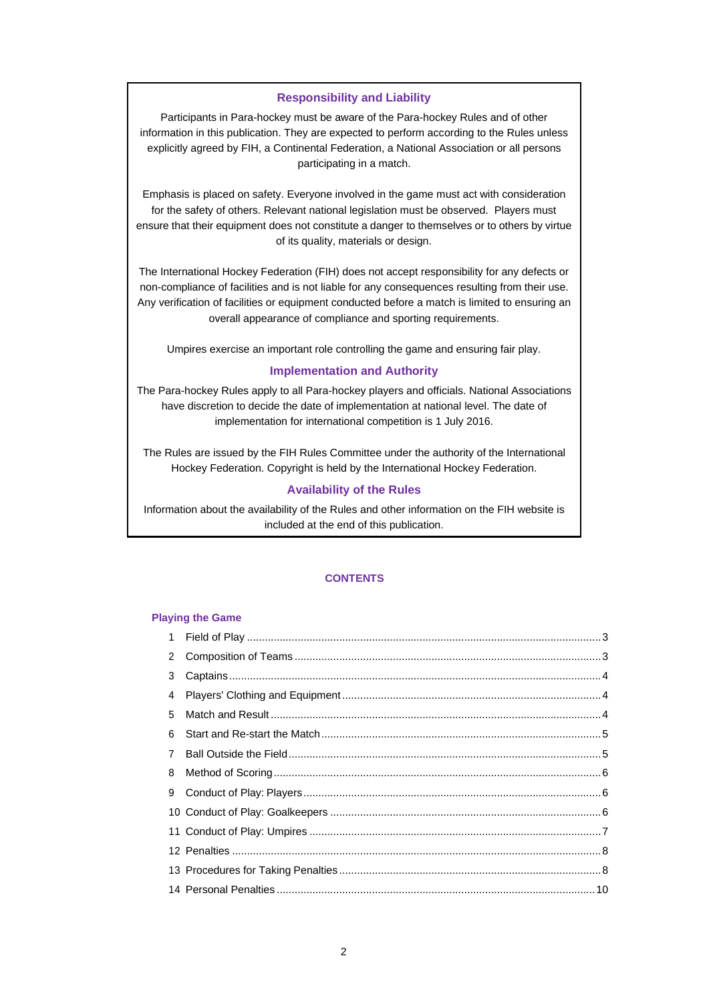## **Responsibility and Liability**

Participants in Para-hockey must be aware of the Para-hockey Rules and of other information in this publication. They are expected to perform according to the Rules unless explicitly agreed by FIH, a Continental Federation, a National Association or all persons participating in a match.

Emphasis is placed on safety. Everyone involved in the game must act with consideration for the safety of others. Relevant national legislation must be observed. Players must ensure that their equipment does not constitute a danger to themselves or to others by virtue of its quality, materials or design.

The International Hockey Federation (FIH) does not accept responsibility for any defects or non-compliance of facilities and is not liable for any consequences resulting from their use. Any verification of facilities or equipment conducted before a match is limited to ensuring an overall appearance of compliance and sporting requirements.

Umpires exercise an important role controlling the game and ensuring fair play.

## **Implementation and Authority**

The Para-hockey Rules apply to all Para-hockey players and officials. National Associations have discretion to decide the date of implementation at national level. The date of implementation for international competition is 1 July 2016.

The Rules are issued by the FIH Rules Committee under the authority of the International Hockey Federation. Copyright is held by the International Hockey Federation.

#### **Availability of the Rules**

Information about the availability of the Rules and other information on the FIH website is included at the end of this publication.

#### **CONTENTS**

#### **Playing the Game**

| $\mathbf{2}$   |  |
|----------------|--|
| 3              |  |
|                |  |
| 5              |  |
| 6              |  |
| $\overline{7}$ |  |
| 8              |  |
|                |  |
|                |  |
|                |  |
|                |  |
|                |  |
|                |  |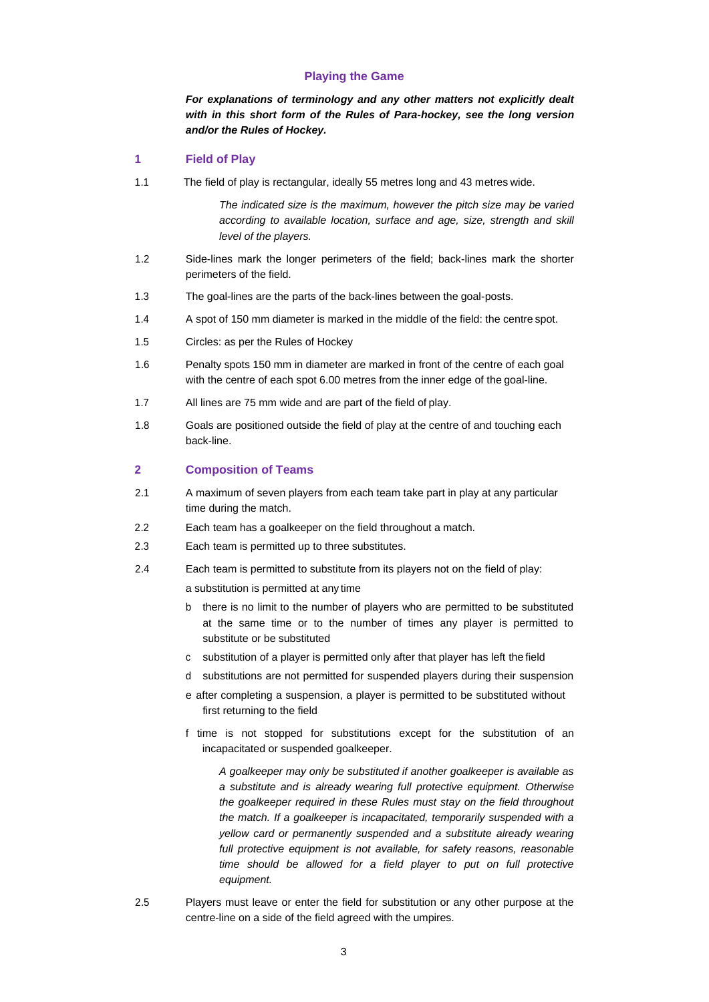#### **Playing the Game**

*For explanations of terminology and any other matters not explicitly dealt with in this short form of the Rules of Para-hockey, see the long version and/or the Rules of Hockey.*

#### <span id="page-2-0"></span>**1 Field of Play**

1.1 The field of play is rectangular, ideally 55 metres long and 43 metres wide.

*The indicated size is the maximum, however the pitch size may be varied according to available location, surface and age, size, strength and skill level of the players.*

- 1.2 Side-lines mark the longer perimeters of the field; back-lines mark the shorter perimeters of the field.
- 1.3 The goal-lines are the parts of the back-lines between the goal-posts.
- 1.4 A spot of 150 mm diameter is marked in the middle of the field: the centre spot.
- 1.5 Circles: as per the Rules of Hockey
- 1.6 Penalty spots 150 mm in diameter are marked in front of the centre of each goal with the centre of each spot 6.00 metres from the inner edge of the goal-line.
- 1.7 All lines are 75 mm wide and are part of the field of play.
- 1.8 Goals are positioned outside the field of play at the centre of and touching each back-line.

## <span id="page-2-1"></span>**2 Composition of Teams**

- 2.1 A maximum of seven players from each team take part in play at any particular time during the match.
- 2.2 Each team has a goalkeeper on the field throughout a match.
- 2.3 Each team is permitted up to three substitutes.
- 2.4 Each team is permitted to substitute from its players not on the field of play:

a substitution is permitted at any time

- b there is no limit to the number of players who are permitted to be substituted at the same time or to the number of times any player is permitted to substitute or be substituted
- c substitution of a player is permitted only after that player has left the field
- d substitutions are not permitted for suspended players during their suspension
- e after completing a suspension, a player is permitted to be substituted without first returning to the field
- f time is not stopped for substitutions except for the substitution of an incapacitated or suspended goalkeeper.

*A goalkeeper may only be substituted if another goalkeeper is available as a substitute and is already wearing full protective equipment. Otherwise the goalkeeper required in these Rules must stay on the field throughout the match. If a goalkeeper is incapacitated, temporarily suspended with a yellow card or permanently suspended and a substitute already wearing*  full protective equipment is not available, for safety reasons, reasonable *time should be allowed for a field player to put on full protective equipment.*

2.5 Players must leave or enter the field for substitution or any other purpose at the centre-line on a side of the field agreed with the umpires.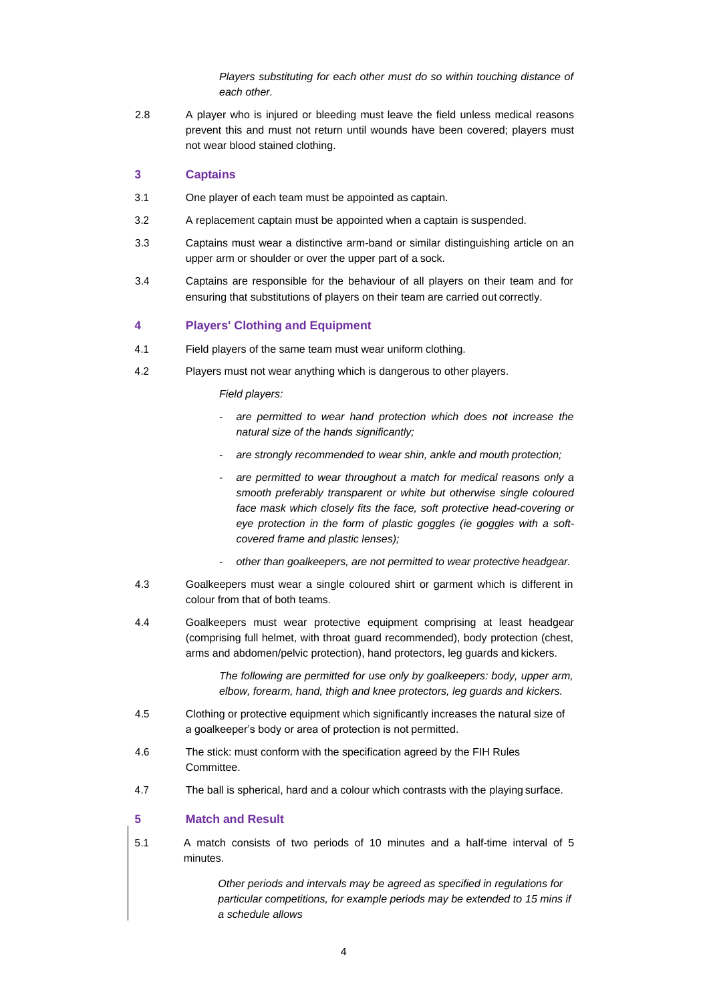*Players substituting for each other must do so within touching distance of each other.*

2.8 A player who is injured or bleeding must leave the field unless medical reasons prevent this and must not return until wounds have been covered; players must not wear blood stained clothing.

#### <span id="page-3-0"></span>**3 Captains**

- 3.1 One player of each team must be appointed as captain.
- 3.2 A replacement captain must be appointed when a captain is suspended.
- 3.3 Captains must wear a distinctive arm-band or similar distinguishing article on an upper arm or shoulder or over the upper part of a sock.
- 3.4 Captains are responsible for the behaviour of all players on their team and for ensuring that substitutions of players on their team are carried out correctly.

## <span id="page-3-1"></span>**4 Players' Clothing and Equipment**

- 4.1 Field players of the same team must wear uniform clothing.
- 4.2 Players must not wear anything which is dangerous to other players.

*Field players:*

- *- are permitted to wear hand protection which does not increase the natural size of the hands significantly;*
- *- are strongly recommended to wear shin, ankle and mouth protection;*
- *- are permitted to wear throughout a match for medical reasons only a smooth preferably transparent or white but otherwise single coloured face mask which closely fits the face, soft protective head-covering or eye protection in the form of plastic goggles (ie goggles with a softcovered frame and plastic lenses);*
- *- other than goalkeepers, are not permitted to wear protective headgear.*
- 4.3 Goalkeepers must wear a single coloured shirt or garment which is different in colour from that of both teams.
- 4.4 Goalkeepers must wear protective equipment comprising at least headgear (comprising full helmet, with throat guard recommended), body protection (chest, arms and abdomen/pelvic protection), hand protectors, leg guards and kickers.

*The following are permitted for use only by goalkeepers: body, upper arm, elbow, forearm, hand, thigh and knee protectors, leg guards and kickers.*

- 4.5 Clothing or protective equipment which significantly increases the natural size of a goalkeeper's body or area of protection is not permitted.
- 4.6 The stick: must conform with the specification agreed by the FIH Rules **Committee.**
- 4.7 The ball is spherical, hard and a colour which contrasts with the playing surface.

#### <span id="page-3-2"></span>**5 Match and Result**

5.1 A match consists of two periods of 10 minutes and a half-time interval of 5 minutes.

> *Other periods and intervals may be agreed as specified in regulations for particular competitions, for example periods may be extended to 15 mins if a schedule allows*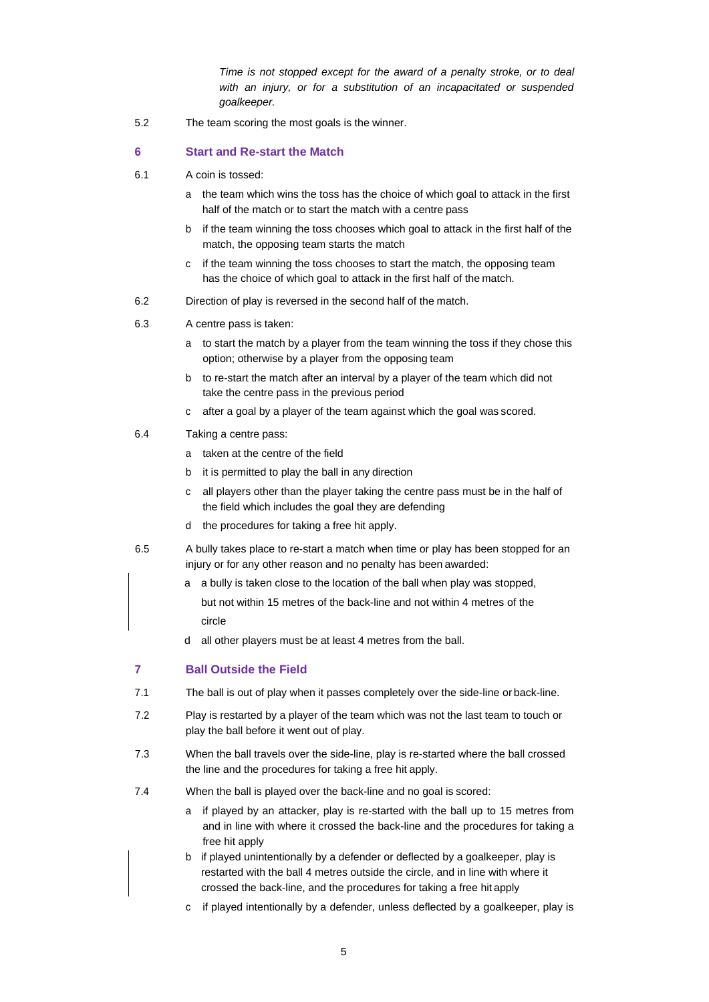*Time is not stopped except for the award of a penalty stroke, or to deal with an injury, or for a substitution of an incapacitated or suspended goalkeeper.*

5.2 The team scoring the most goals is the winner.

#### <span id="page-4-0"></span>**6 Start and Re-start the Match**

- 6.1 A coin is tossed:
	- a the team which wins the toss has the choice of which goal to attack in the first half of the match or to start the match with a centre pass
	- b if the team winning the toss chooses which goal to attack in the first half of the match, the opposing team starts the match
	- c if the team winning the toss chooses to start the match, the opposing team has the choice of which goal to attack in the first half of the match.
- 6.2 Direction of play is reversed in the second half of the match.
- 6.3 A centre pass is taken:
	- a to start the match by a player from the team winning the toss if they chose this option; otherwise by a player from the opposing team
	- b to re-start the match after an interval by a player of the team which did not take the centre pass in the previous period
	- c after a goal by a player of the team against which the goal was scored.
- 6.4 Taking a centre pass:
	- a taken at the centre of the field
	- b it is permitted to play the ball in any direction
	- c all players other than the player taking the centre pass must be in the half of the field which includes the goal they are defending
	- d the procedures for taking a free hit apply.
- 6.5 A bully takes place to re-start a match when time or play has been stopped for an injury or for any other reason and no penalty has been awarded:
	- a a bully is taken close to the location of the ball when play was stopped,
	- but not within 15 metres of the back-line and not within 4 metres of the circle
	- d all other players must be at least 4 metres from the ball.

## <span id="page-4-1"></span>**7 Ball Outside the Field**

- 7.1 The ball is out of play when it passes completely over the side-line or back-line.
- 7.2 Play is restarted by a player of the team which was not the last team to touch or play the ball before it went out of play.
- 7.3 When the ball travels over the side-line, play is re-started where the ball crossed the line and the procedures for taking a free hit apply.
- 7.4 When the ball is played over the back-line and no goal is scored:
	- a if played by an attacker, play is re-started with the ball up to 15 metres from and in line with where it crossed the back-line and the procedures for taking a free hit apply
	- b if played unintentionally by a defender or deflected by a goalkeeper, play is restarted with the ball 4 metres outside the circle, and in line with where it crossed the back-line, and the procedures for taking a free hit apply
	- c if played intentionally by a defender, unless deflected by a goalkeeper, play is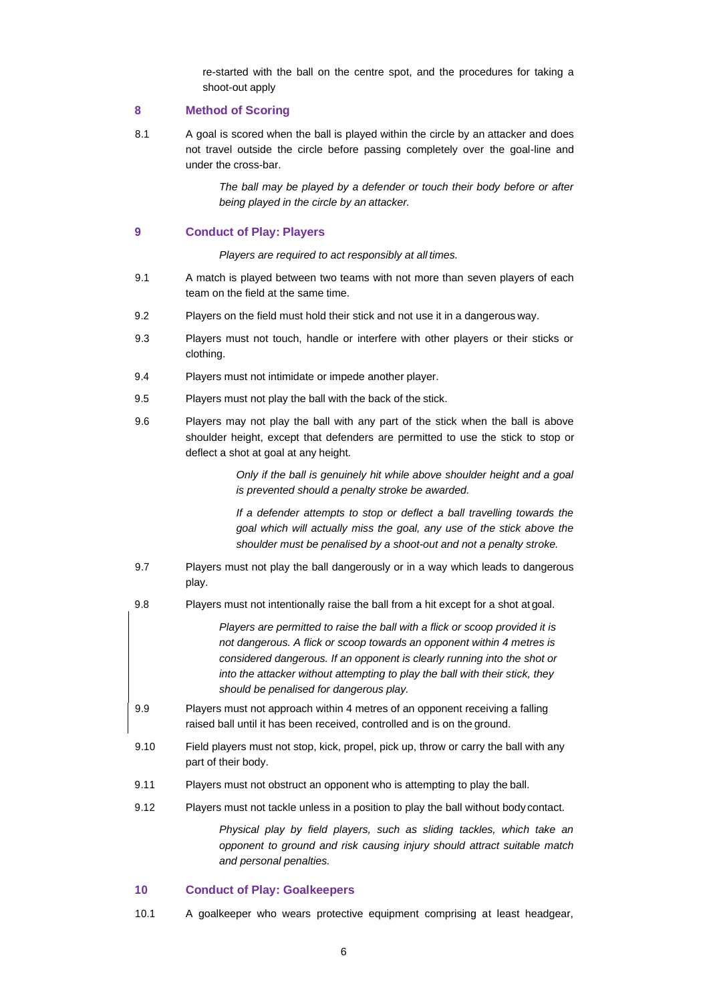re-started with the ball on the centre spot, and the procedures for taking a shoot-out apply

#### <span id="page-5-0"></span>**8 Method of Scoring**

8.1 A goal is scored when the ball is played within the circle by an attacker and does not travel outside the circle before passing completely over the goal-line and under the cross-bar.

> *The ball may be played by a defender or touch their body before or after being played in the circle by an attacker.*

#### <span id="page-5-1"></span>**9 Conduct of Play: Players**

*Players are required to act responsibly at all times.*

- 9.1 A match is played between two teams with not more than seven players of each team on the field at the same time.
- 9.2 Players on the field must hold their stick and not use it in a dangerous way.
- 9.3 Players must not touch, handle or interfere with other players or their sticks or clothing.
- 9.4 Players must not intimidate or impede another player.
- 9.5 Players must not play the ball with the back of the stick.
- 9.6 Players may not play the ball with any part of the stick when the ball is above shoulder height, except that defenders are permitted to use the stick to stop or deflect a shot at goal at any height.

*Only if the ball is genuinely hit while above shoulder height and a goal is prevented should a penalty stroke be awarded.*

*If a defender attempts to stop or deflect a ball travelling towards the goal which will actually miss the goal, any use of the stick above the shoulder must be penalised by a shoot-out and not a penalty stroke.*

- 9.7 Players must not play the ball dangerously or in a way which leads to dangerous play.
- 9.8 Players must not intentionally raise the ball from a hit except for a shot at goal.

*Players are permitted to raise the ball with a flick or scoop provided it is not dangerous. A flick or scoop towards an opponent within 4 metres is considered dangerous. If an opponent is clearly running into the shot or into the attacker without attempting to play the ball with their stick, they should be penalised for dangerous play.*

- 9.9 Players must not approach within 4 metres of an opponent receiving a falling raised ball until it has been received, controlled and is on the ground.
- 9.10 Field players must not stop, kick, propel, pick up, throw or carry the ball with any part of their body.
- 9.11 Players must not obstruct an opponent who is attempting to play the ball.
- 9.12 Players must not tackle unless in a position to play the ball without body contact.

*Physical play by field players, such as sliding tackles, which take an opponent to ground and risk causing injury should attract suitable match and personal penalties.*

# <span id="page-5-2"></span>**10 Conduct of Play: Goalkeepers**

10.1 A goalkeeper who wears protective equipment comprising at least headgear,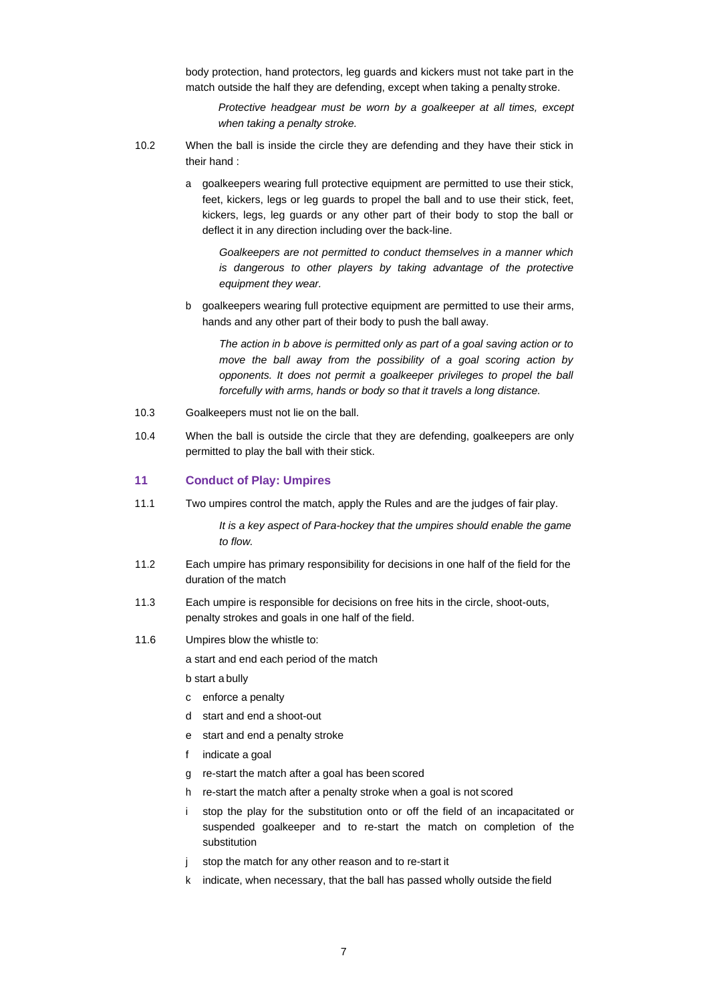body protection, hand protectors, leg guards and kickers must not take part in the match outside the half they are defending, except when taking a penalty stroke.

*Protective headgear must be worn by a goalkeeper at all times, except when taking a penalty stroke.*

- 10.2 When the ball is inside the circle they are defending and they have their stick in their hand :
	- a goalkeepers wearing full protective equipment are permitted to use their stick, feet, kickers, legs or leg guards to propel the ball and to use their stick, feet, kickers, legs, leg guards or any other part of their body to stop the ball or deflect it in any direction including over the back-line.

*Goalkeepers are not permitted to conduct themselves in a manner which*  is dangerous to other players by taking advantage of the protective *equipment they wear.*

b goalkeepers wearing full protective equipment are permitted to use their arms, hands and any other part of their body to push the ball away.

*The action in b above is permitted only as part of a goal saving action or to move the ball away from the possibility of a goal scoring action by*  opponents. It does not permit a goalkeeper privileges to propel the ball *forcefully with arms, hands or body so that it travels a long distance.*

- 10.3 Goalkeepers must not lie on the ball.
- 10.4 When the ball is outside the circle that they are defending, goalkeepers are only permitted to play the ball with their stick.

#### <span id="page-6-0"></span>**11 Conduct of Play: Umpires**

11.1 Two umpires control the match, apply the Rules and are the judges of fair play.

*It is a key aspect of Para-hockey that the umpires should enable the game to flow.*

- 11.2 Each umpire has primary responsibility for decisions in one half of the field for the duration of the match
- 11.3 Each umpire is responsible for decisions on free hits in the circle, shoot-outs, penalty strokes and goals in one half of the field.
- 11.6 Umpires blow the whistle to:

a start and end each period of the match

b start a bully

- c enforce a penalty
- d start and end a shoot-out
- e start and end a penalty stroke
- f indicate a goal
- g re-start the match after a goal has been scored
- h re-start the match after a penalty stroke when a goal is not scored
- i stop the play for the substitution onto or off the field of an incapacitated or suspended goalkeeper and to re-start the match on completion of the substitution
- j stop the match for any other reason and to re-start it
- k indicate, when necessary, that the ball has passed wholly outside the field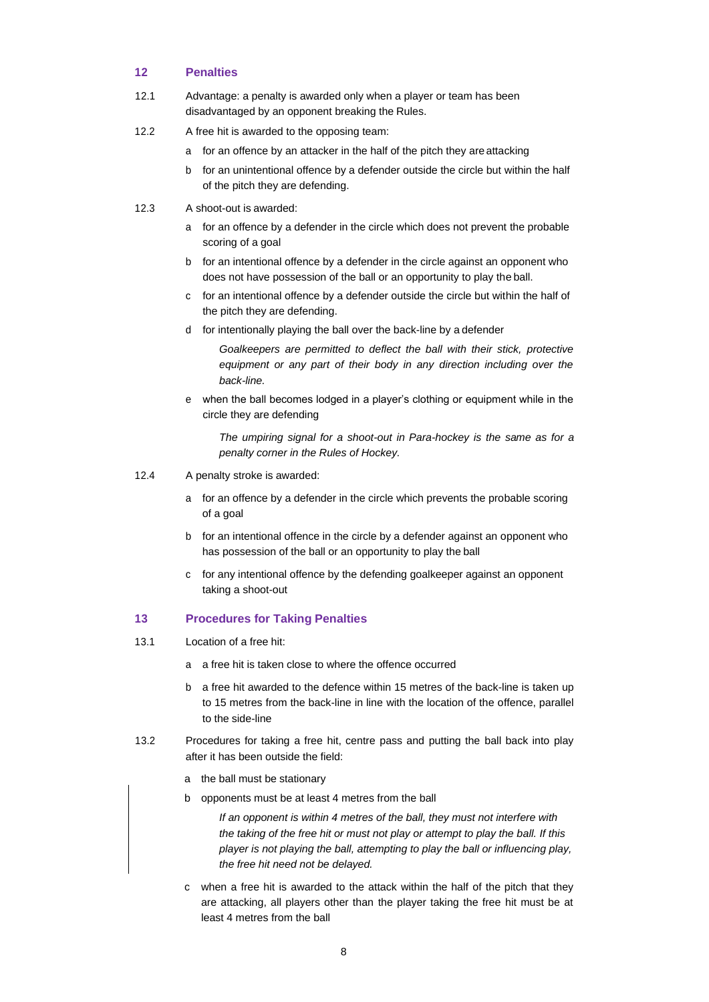## <span id="page-7-0"></span>**12 Penalties**

- 12.1 Advantage: a penalty is awarded only when a player or team has been disadvantaged by an opponent breaking the Rules.
- 12.2 A free hit is awarded to the opposing team:
	- a for an offence by an attacker in the half of the pitch they are attacking
	- b for an unintentional offence by a defender outside the circle but within the half of the pitch they are defending.
- 12.3 A shoot-out is awarded:
	- a for an offence by a defender in the circle which does not prevent the probable scoring of a goal
	- b for an intentional offence by a defender in the circle against an opponent who does not have possession of the ball or an opportunity to play the ball.
	- c for an intentional offence by a defender outside the circle but within the half of the pitch they are defending.
	- d for intentionally playing the ball over the back-line by a defender

*Goalkeepers are permitted to deflect the ball with their stick, protective*  equipment or any part of their body in any direction including over the *back-line.*

e when the ball becomes lodged in a player's clothing or equipment while in the circle they are defending

*The umpiring signal for a shoot-out in Para-hockey is the same as for a penalty corner in the Rules of Hockey.*

- 12.4 A penalty stroke is awarded:
	- a for an offence by a defender in the circle which prevents the probable scoring of a goal
	- b for an intentional offence in the circle by a defender against an opponent who has possession of the ball or an opportunity to play the ball
	- c for any intentional offence by the defending goalkeeper against an opponent taking a shoot-out

## <span id="page-7-1"></span>**13 Procedures for Taking Penalties**

- 13.1 Location of a free hit:
	- a a free hit is taken close to where the offence occurred
	- b a free hit awarded to the defence within 15 metres of the back-line is taken up to 15 metres from the back-line in line with the location of the offence, parallel to the side-line
- 13.2 Procedures for taking a free hit, centre pass and putting the ball back into play after it has been outside the field:
	- a the ball must be stationary
	- b opponents must be at least 4 metres from the ball

*If an opponent is within 4 metres of the ball, they must not interfere with the taking of the free hit or must not play or attempt to play the ball. If this player is not playing the ball, attempting to play the ball or influencing play, the free hit need not be delayed.*

c when a free hit is awarded to the attack within the half of the pitch that they are attacking, all players other than the player taking the free hit must be at least 4 metres from the ball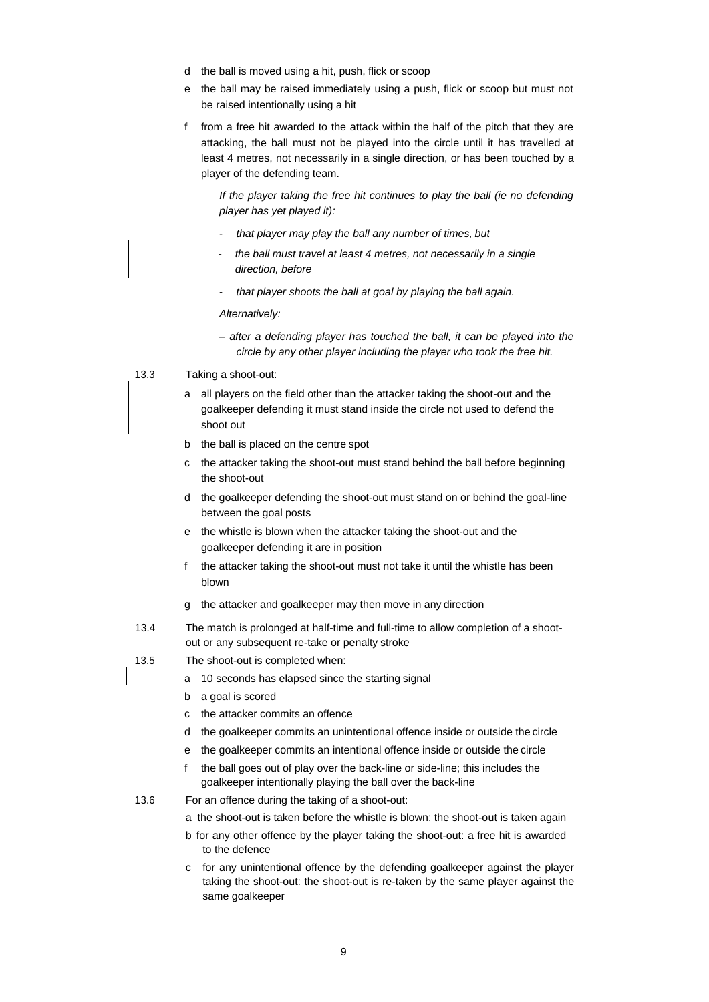- d the ball is moved using a hit, push, flick or scoop
- e the ball may be raised immediately using a push, flick or scoop but must not be raised intentionally using a hit
- f from a free hit awarded to the attack within the half of the pitch that they are attacking, the ball must not be played into the circle until it has travelled at least 4 metres, not necessarily in a single direction, or has been touched by a player of the defending team.

If the player taking the free hit continues to play the ball (ie no defending *player has yet played it):*

- *that player may play the ball any number of times, but*
- *- the ball must travel at least 4 metres, not necessarily in a single direction, before*
- *that player shoots the ball at goal by playing the ball again.*

*Alternatively:*

- *after a defending player has touched the ball, it can be played into the circle by any other player including the player who took the free hit.*
- 13.3 Taking a shoot-out:
	- a all players on the field other than the attacker taking the shoot-out and the goalkeeper defending it must stand inside the circle not used to defend the shoot out
	- b the ball is placed on the centre spot
	- c the attacker taking the shoot-out must stand behind the ball before beginning the shoot-out
	- d the goalkeeper defending the shoot-out must stand on or behind the goal-line between the goal posts
	- e the whistle is blown when the attacker taking the shoot-out and the goalkeeper defending it are in position
	- f the attacker taking the shoot-out must not take it until the whistle has been blown
	- g the attacker and goalkeeper may then move in any direction
- 13.4 The match is prolonged at half-time and full-time to allow completion of a shootout or any subsequent re-take or penalty stroke
- 13.5 The shoot-out is completed when:
	- a 10 seconds has elapsed since the starting signal
	- b a goal is scored
	- c the attacker commits an offence
	- d the goalkeeper commits an unintentional offence inside or outside the circle
	- e the goalkeeper commits an intentional offence inside or outside the circle
	- f the ball goes out of play over the back-line or side-line; this includes the goalkeeper intentionally playing the ball over the back-line
- 13.6 For an offence during the taking of a shoot-out:
	- a the shoot-out is taken before the whistle is blown: the shoot-out is taken again
	- b for any other offence by the player taking the shoot-out: a free hit is awarded to the defence
	- c for any unintentional offence by the defending goalkeeper against the player taking the shoot-out: the shoot-out is re-taken by the same player against the same goalkeeper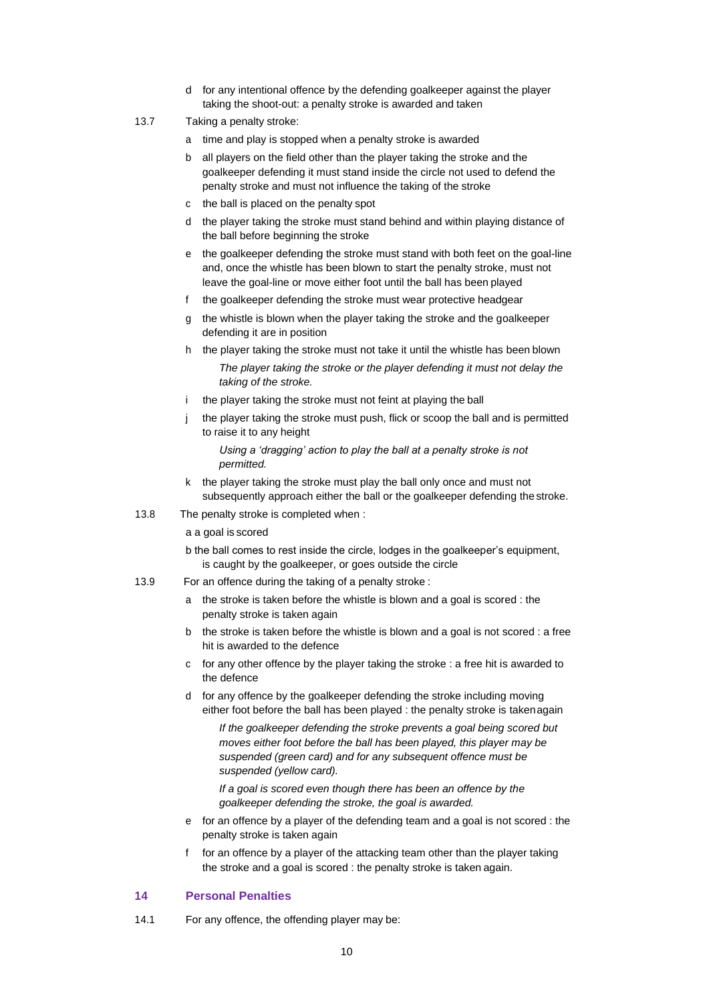- d for any intentional offence by the defending goalkeeper against the player taking the shoot-out: a penalty stroke is awarded and taken
- 13.7 Taking a penalty stroke:
	- a time and play is stopped when a penalty stroke is awarded
	- b all players on the field other than the player taking the stroke and the goalkeeper defending it must stand inside the circle not used to defend the penalty stroke and must not influence the taking of the stroke
	- c the ball is placed on the penalty spot
	- d the player taking the stroke must stand behind and within playing distance of the ball before beginning the stroke
	- e the goalkeeper defending the stroke must stand with both feet on the goal-line and, once the whistle has been blown to start the penalty stroke, must not leave the goal-line or move either foot until the ball has been played
	- f the goalkeeper defending the stroke must wear protective headgear
	- g the whistle is blown when the player taking the stroke and the goalkeeper defending it are in position
	- h the player taking the stroke must not take it until the whistle has been blown *The player taking the stroke or the player defending it must not delay the taking of the stroke.*
	- i the player taking the stroke must not feint at playing the ball
	- j the player taking the stroke must push, flick or scoop the ball and is permitted to raise it to any height

*Using a 'dragging' action to play the ball at a penalty stroke is not permitted.*

- k the player taking the stroke must play the ball only once and must not subsequently approach either the ball or the goalkeeper defending the stroke.
- 13.8 The penalty stroke is completed when :

a a goal is scored

- b the ball comes to rest inside the circle, lodges in the goalkeeper's equipment, is caught by the goalkeeper, or goes outside the circle
- 13.9 For an offence during the taking of a penalty stroke :
	- a the stroke is taken before the whistle is blown and a goal is scored : the penalty stroke is taken again
	- b the stroke is taken before the whistle is blown and a goal is not scored : a free hit is awarded to the defence
	- c for any other offence by the player taking the stroke : a free hit is awarded to the defence
	- d for any offence by the goalkeeper defending the stroke including moving either foot before the ball has been played : the penalty stroke is takenagain

*If the goalkeeper defending the stroke prevents a goal being scored but moves either foot before the ball has been played, this player may be suspended (green card) and for any subsequent offence must be suspended (yellow card).*

*If a goal is scored even though there has been an offence by the goalkeeper defending the stroke, the goal is awarded.*

- e for an offence by a player of the defending team and a goal is not scored : the penalty stroke is taken again
- f for an offence by a player of the attacking team other than the player taking the stroke and a goal is scored : the penalty stroke is taken again.

#### <span id="page-9-0"></span>**14 Personal Penalties**

14.1 For any offence, the offending player may be: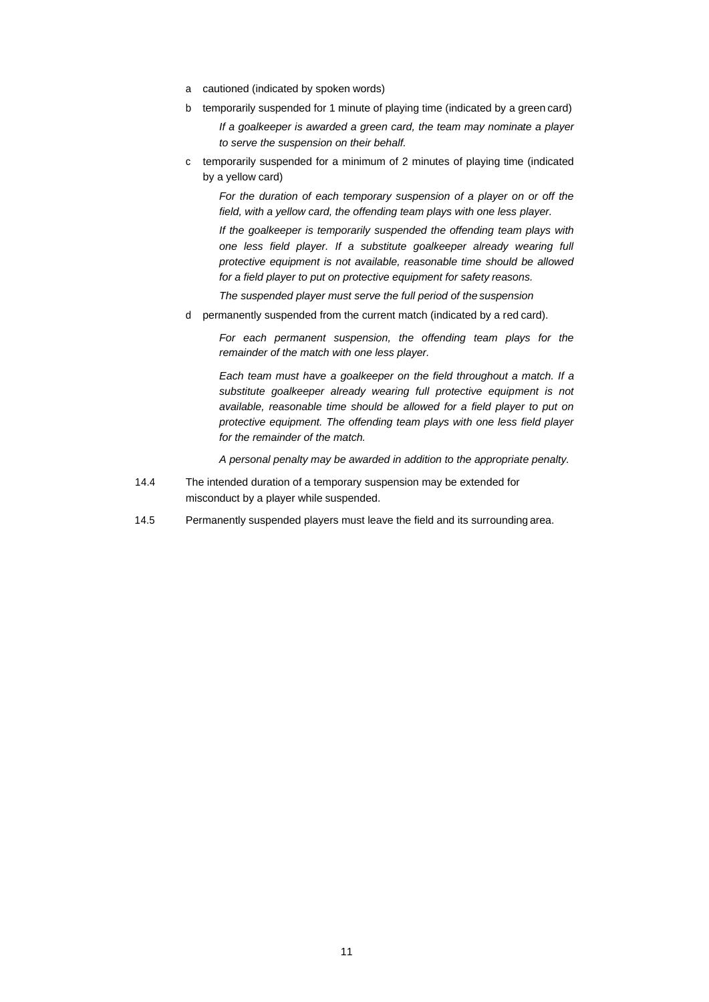- a cautioned (indicated by spoken words)
- b temporarily suspended for 1 minute of playing time (indicated by a green card)

*If a goalkeeper is awarded a green card, the team may nominate a player to serve the suspension on their behalf.*

c temporarily suspended for a minimum of 2 minutes of playing time (indicated by a yellow card)

*For the duration of each temporary suspension of a player on or off the field, with a yellow card, the offending team plays with one less player.*

*If the goalkeeper is temporarily suspended the offending team plays with one less field player. If a substitute goalkeeper already wearing full protective equipment is not available, reasonable time should be allowed for a field player to put on protective equipment for safety reasons.*

*The suspended player must serve the full period of the suspension*

d permanently suspended from the current match (indicated by a red card).

*For each permanent suspension, the offending team plays for the remainder of the match with one less player.*

*Each team must have a goalkeeper on the field throughout a match. If a substitute goalkeeper already wearing full protective equipment is not available, reasonable time should be allowed for a field player to put on protective equipment. The offending team plays with one less field player for the remainder of the match.*

*A personal penalty may be awarded in addition to the appropriate penalty.*

- 14.4 The intended duration of a temporary suspension may be extended for misconduct by a player while suspended.
- 14.5 Permanently suspended players must leave the field and its surrounding area.